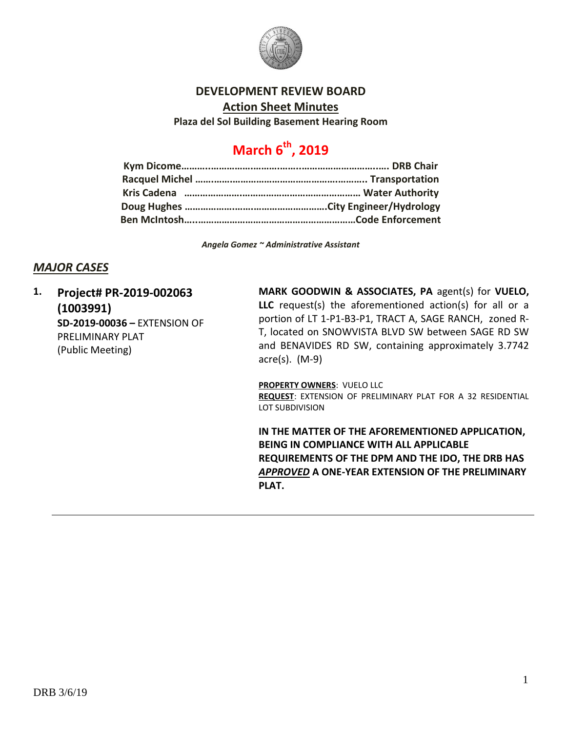

## **DEVELOPMENT REVIEW BOARD**

**Action Sheet Minutes**

**Plaza del Sol Building Basement Hearing Room**

# **March 6th, 2019**

*Angela Gomez ~ Administrative Assistant*

# *MAJOR CASES*

**1. Project# PR-2019-002063 (1003991) SD-2019-00036 –** EXTENSION OF PRELIMINARY PLAT (Public Meeting)

**MARK GOODWIN & ASSOCIATES, PA** agent(s) for **VUELO, LLC** request(s) the aforementioned action(s) for all or a portion of LT 1-P1-B3-P1, TRACT A, SAGE RANCH, zoned R-T, located on SNOWVISTA BLVD SW between SAGE RD SW and BENAVIDES RD SW, containing approximately 3.7742 acre(s). (M-9)

**PROPERTY OWNERS**: VUELO LLC **REQUEST**: EXTENSION OF PRELIMINARY PLAT FOR A 32 RESIDENTIAL LOT SUBDIVISION

**IN THE MATTER OF THE AFOREMENTIONED APPLICATION, BEING IN COMPLIANCE WITH ALL APPLICABLE REQUIREMENTS OF THE DPM AND THE IDO, THE DRB HAS**  *APPROVED* **A ONE-YEAR EXTENSION OF THE PRELIMINARY PLAT.**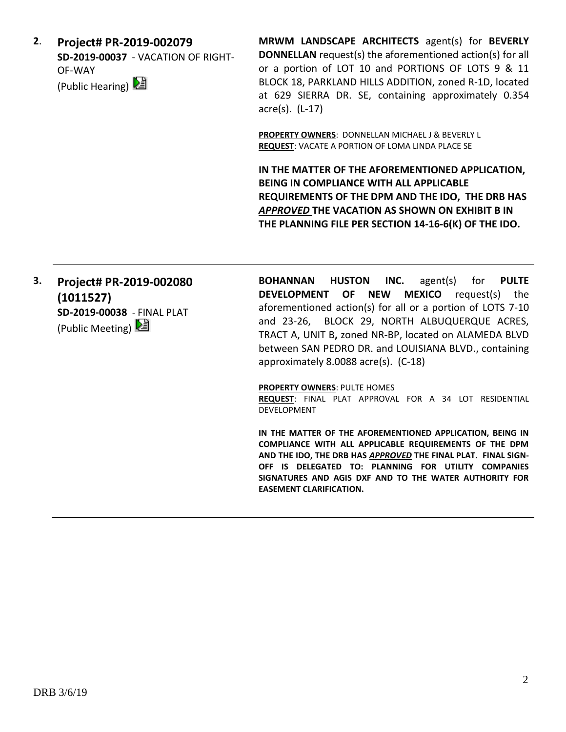**2**. **Project# PR-2019-002079 SD-2019-00037** - VACATION OF RIGHT-OF-WAY (Public Hearing)

**MRWM LANDSCAPE ARCHITECTS** agent(s) for **BEVERLY DONNELLAN** request(s) the aforementioned action(s) for all or a portion of LOT 10 and PORTIONS OF LOTS 9 & 11 BLOCK 18, PARKLAND HILLS ADDITION, zoned R-1D, located at 629 SIERRA DR. SE, containing approximately 0.354 acre(s). (L-17)

**PROPERTY OWNERS**: DONNELLAN MICHAEL J & BEVERLY L **REQUEST**: VACATE A PORTION OF LOMA LINDA PLACE SE

**IN THE MATTER OF THE AFOREMENTIONED APPLICATION, BEING IN COMPLIANCE WITH ALL APPLICABLE REQUIREMENTS OF THE DPM AND THE IDO, THE DRB HAS**  *APPROVED* **THE VACATION AS SHOWN ON EXHIBIT B IN THE PLANNING FILE PER SECTION 14-16-6(K) OF THE IDO.**

# **3. Project# PR-2019-002080 (1011527) SD-2019-00038** - FINAL PLAT

(Public Meeting)

**BOHANNAN HUSTON INC.** agent(s) for **PULTE DEVELOPMENT OF NEW MEXICO** request(s) the aforementioned action(s) for all or a portion of LOTS 7-10 and 23-26, BLOCK 29, NORTH ALBUQUERQUE ACRES, TRACT A, UNIT B**,** zoned NR-BP, located on ALAMEDA BLVD between SAN PEDRO DR. and LOUISIANA BLVD., containing approximately 8.0088 acre(s). (C-18)

#### **PROPERTY OWNERS**: PULTE HOMES

**REQUEST**: FINAL PLAT APPROVAL FOR A 34 LOT RESIDENTIAL DEVELOPMENT

**IN THE MATTER OF THE AFOREMENTIONED APPLICATION, BEING IN COMPLIANCE WITH ALL APPLICABLE REQUIREMENTS OF THE DPM AND THE IDO, THE DRB HAS** *APPROVED* **THE FINAL PLAT. FINAL SIGN-OFF IS DELEGATED TO: PLANNING FOR UTILITY COMPANIES SIGNATURES AND AGIS DXF AND TO THE WATER AUTHORITY FOR EASEMENT CLARIFICATION.**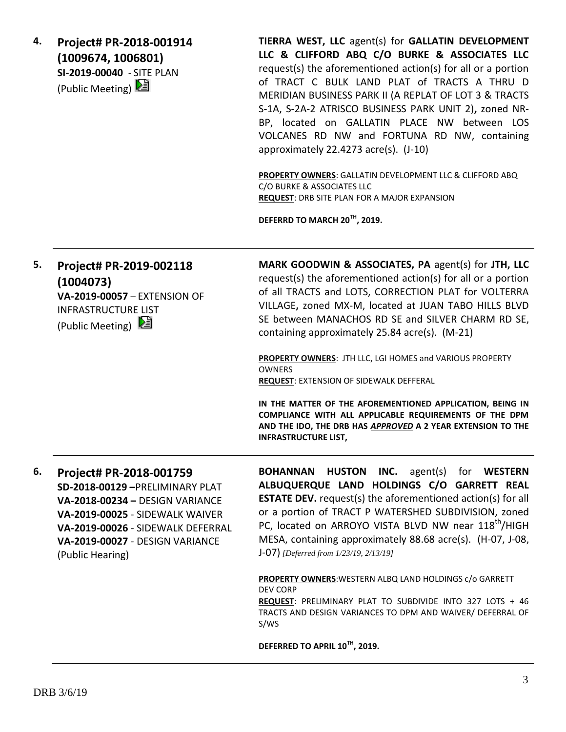**4. Project# PR-2018-001914 (1009674, 1006801) SI-2019-00040** - SITE PLAN (Public Meeting)

**TIERRA WEST, LLC** agent(s) for **GALLATIN DEVELOPMENT LLC & CLIFFORD ABQ C/O BURKE & ASSOCIATES LLC** request(s) the aforementioned action(s) for all or a portion of TRACT C BULK LAND PLAT of TRACTS A THRU D MERIDIAN BUSINESS PARK II (A REPLAT OF LOT 3 & TRACTS S-1A, S-2A-2 ATRISCO BUSINESS PARK UNIT 2)**,** zoned NR-BP, located on GALLATIN PLACE NW between LOS VOLCANES RD NW and FORTUNA RD NW, containing approximately 22.4273 acre(s). (J-10)

**PROPERTY OWNERS**: GALLATIN DEVELOPMENT LLC & CLIFFORD ABQ C/O BURKE & ASSOCIATES LLC **REQUEST**: DRB SITE PLAN FOR A MAJOR EXPANSION

**DEFERRD TO MARCH 20TH, 2019.**

**5. Project# PR-2019-002118 (1004073) VA-2019-00057** – EXTENSION OF INFRASTRUCTURE LIST (Public Meeting)  $\boxed{\mathbf{E}}$ **MARK GOODWIN & ASSOCIATES, PA** agent(s) for **JTH, LLC** request(s) the aforementioned action(s) for all or a portion of all TRACTS and LOTS, CORRECTION PLAT for VOLTERRA VILLAGE**,** zoned MX-M, located at JUAN TABO HILLS BLVD SE between MANACHOS RD SE and SILVER CHARM RD SE, containing approximately 25.84 acre(s). (M-21) **PROPERTY OWNERS**: JTH LLC, LGI HOMES and VARIOUS PROPERTY OWNERS **REQUEST**: EXTENSION OF SIDEWALK DEFFERAL **IN THE MATTER OF THE AFOREMENTIONED APPLICATION, BEING IN COMPLIANCE WITH ALL APPLICABLE REQUIREMENTS OF THE DPM AND THE IDO, THE DRB HAS** *APPROVED* **A 2 YEAR EXTENSION TO THE INFRASTRUCTURE LIST, 6. Project# PR-2018-001759 SD-2018-00129 –**PRELIMINARY PLAT **VA-2018-00234 –** DESIGN VARIANCE **VA-2019-00025** - SIDEWALK WAIVER **VA-2019-00026** - SIDEWALK DEFERRAL **VA-2019-00027** - DESIGN VARIANCE (Public Hearing) **BOHANNAN HUSTON INC.** agent(s) for **WESTERN ALBUQUERQUE LAND HOLDINGS C/O GARRETT REAL ESTATE DEV.** request(s) the aforementioned action(s) for all or a portion of TRACT P WATERSHED SUBDIVISION, zoned PC, located on ARROYO VISTA BLVD NW near 118<sup>th</sup>/HIGH MESA, containing approximately 88.68 acre(s). (H-07, J-08, J-07) *[Deferred from 1/23/19, 2/13/19]* **PROPERTY OWNERS**:WESTERN ALBQ LAND HOLDINGS c/o GARRETT DEV CORP **REQUEST**: PRELIMINARY PLAT TO SUBDIVIDE INTO 327 LOTS + 46 TRACTS AND DESIGN VARIANCES TO DPM AND WAIVER/ DEFERRAL OF S/WS

**DEFERRED TO APRIL 10TH, 2019.**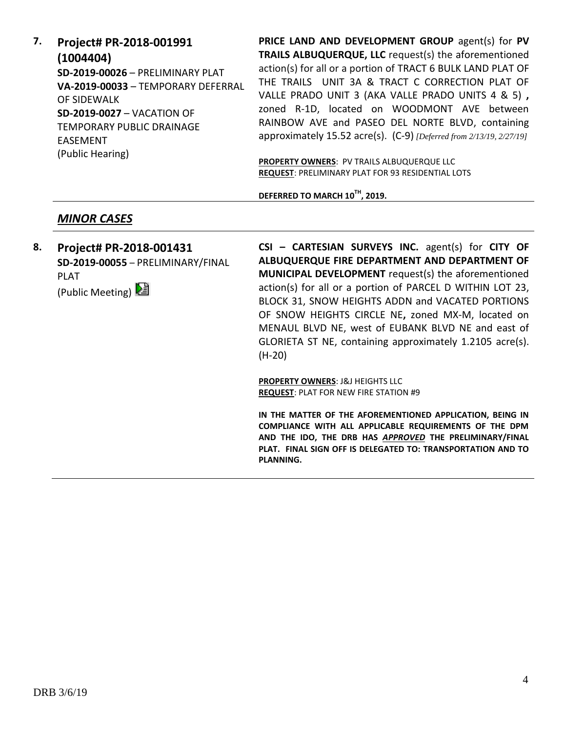**7. Project# PR-2018-001991 (1004404) SD-2019-00026** – PRELIMINARY PLAT **VA-2019-00033** – TEMPORARY DEFERRAL OF SIDEWALK **SD-2019-0027** – VACATION OF TEMPORARY PUBLIC DRAINAGE EASEMENT (Public Hearing)

**PRICE LAND AND DEVELOPMENT GROUP** agent(s) for **PV TRAILS ALBUQUERQUE, LLC** request(s) the aforementioned action(s) for all or a portion of TRACT 6 BULK LAND PLAT OF THE TRAILS UNIT 3A & TRACT C CORRECTION PLAT OF VALLE PRADO UNIT 3 (AKA VALLE PRADO UNITS 4 & 5) **,**  zoned R-1D, located on WOODMONT AVE between RAINBOW AVE and PASEO DEL NORTE BLVD, containing approximately 15.52 acre(s). (C-9) *[Deferred from 2/13/19, 2/27/19]*

**PROPERTY OWNERS**: PV TRAILS ALBUQUERQUE LLC **REQUEST**: PRELIMINARY PLAT FOR 93 RESIDENTIAL LOTS

**DEFERRED TO MARCH 10TH, 2019.**

# *MINOR CASES*

**8. Project# PR-2018-001431 SD-2019-00055** – PRELIMINARY/FINAL PLAT (Public Meeting)

**CSI – CARTESIAN SURVEYS INC.** agent(s) for **CITY OF ALBUQUERQUE FIRE DEPARTMENT AND DEPARTMENT OF MUNICIPAL DEVELOPMENT** request(s) the aforementioned action(s) for all or a portion of PARCEL D WITHIN LOT 23, BLOCK 31, SNOW HEIGHTS ADDN and VACATED PORTIONS OF SNOW HEIGHTS CIRCLE NE**,** zoned MX-M, located on MENAUL BLVD NE, west of EUBANK BLVD NE and east of GLORIETA ST NE, containing approximately 1.2105 acre(s). (H-20)

**PROPERTY OWNERS**: J&J HEIGHTS LLC **REQUEST**: PLAT FOR NEW FIRE STATION #9

**IN THE MATTER OF THE AFOREMENTIONED APPLICATION, BEING IN COMPLIANCE WITH ALL APPLICABLE REQUIREMENTS OF THE DPM AND THE IDO, THE DRB HAS** *APPROVED* **THE PRELIMINARY/FINAL PLAT. FINAL SIGN OFF IS DELEGATED TO: TRANSPORTATION AND TO PLANNING.**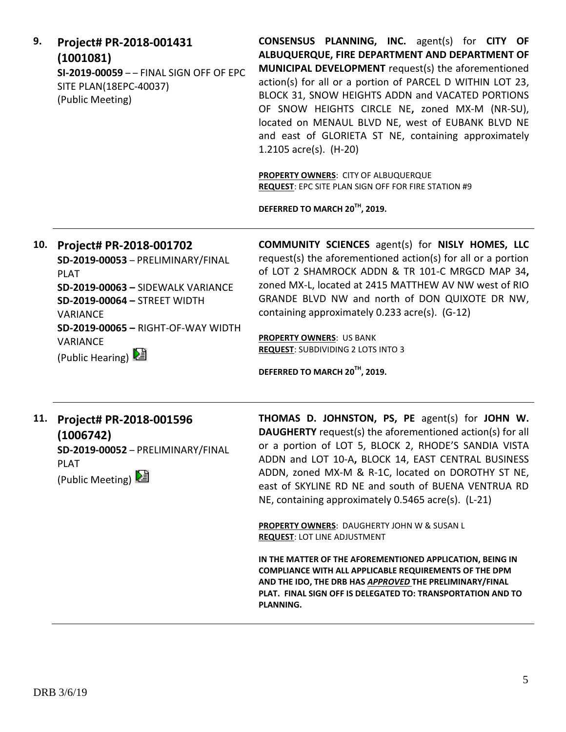| 9.  | Project# PR-2018-001431<br>(1001081)<br>SI-2019-00059 - - FINAL SIGN OFF OF EPC<br>SITE PLAN(18EPC-40037)<br>(Public Meeting)                                                                                                               | <b>CONSENSUS PLANNING, INC.</b> agent(s) for CITY OF<br>ALBUQUERQUE, FIRE DEPARTMENT AND DEPARTMENT OF<br>MUNICIPAL DEVELOPMENT request(s) the aforementioned<br>action(s) for all or a portion of PARCEL D WITHIN LOT 23,<br>BLOCK 31, SNOW HEIGHTS ADDN and VACATED PORTIONS<br>OF SNOW HEIGHTS CIRCLE NE, zoned MX-M (NR-SU),<br>located on MENAUL BLVD NE, west of EUBANK BLVD NE<br>and east of GLORIETA ST NE, containing approximately<br>1.2105 $\arccos 1$ , (H-20)<br>PROPERTY OWNERS: CITY OF ALBUQUERQUE<br>REQUEST: EPC SITE PLAN SIGN OFF FOR FIRE STATION #9<br>DEFERRED TO MARCH 20TH, 2019. |
|-----|---------------------------------------------------------------------------------------------------------------------------------------------------------------------------------------------------------------------------------------------|--------------------------------------------------------------------------------------------------------------------------------------------------------------------------------------------------------------------------------------------------------------------------------------------------------------------------------------------------------------------------------------------------------------------------------------------------------------------------------------------------------------------------------------------------------------------------------------------------------------|
| 10. | Project# PR-2018-001702<br>SD-2019-00053 - PRELIMINARY/FINAL<br><b>PLAT</b><br>SD-2019-00063 - SIDEWALK VARIANCE<br>SD-2019-00064 - STREET WIDTH<br><b>VARIANCE</b><br>SD-2019-00065 - RIGHT-OF-WAY WIDTH<br>VARIANCE<br>(Public Hearing) 2 | <b>COMMUNITY SCIENCES</b> agent(s) for NISLY HOMES, LLC<br>request(s) the aforementioned action(s) for all or a portion<br>of LOT 2 SHAMROCK ADDN & TR 101-C MRGCD MAP 34,<br>zoned MX-L, located at 2415 MATTHEW AV NW west of RIO<br>GRANDE BLVD NW and north of DON QUIXOTE DR NW,<br>containing approximately 0.233 acre(s). (G-12)<br><b>PROPERTY OWNERS: US BANK</b><br><b>REQUEST:</b> SUBDIVIDING 2 LOTS INTO 3<br>DEFERRED TO MARCH 20TH, 2019.                                                                                                                                                     |
| 11. | Project# PR-2018-001596<br>(1006742)<br>SD-2019-00052 - PRELIMINARY/FINAL<br><b>PLAT</b><br>(Public Meeting)                                                                                                                                | THOMAS D. JOHNSTON, PS, PE agent(s) for JOHN W.<br><b>DAUGHERTY</b> request(s) the aforementioned action(s) for all<br>or a portion of LOT 5, BLOCK 2, RHODE'S SANDIA VISTA<br>ADDN and LOT 10-A, BLOCK 14, EAST CENTRAL BUSINESS<br>ADDN, zoned MX-M & R-1C, located on DOROTHY ST NE,<br>east of SKYLINE RD NE and south of BUENA VENTRUA RD<br>NE, containing approximately 0.5465 acre(s). (L-21)<br>PROPERTY OWNERS: DAUGHERTY JOHN W & SUSAN L<br><b>REQUEST: LOT LINE ADJUSTMENT</b>                                                                                                                  |
|     |                                                                                                                                                                                                                                             | IN THE MATTER OF THE AFOREMENTIONED APPLICATION, BEING IN<br>COMPLIANCE WITH ALL APPLICABLE REQUIREMENTS OF THE DPM<br>AND THE IDO, THE DRB HAS APPROVED THE PRELIMINARY/FINAL<br>PLAT. FINAL SIGN OFF IS DELEGATED TO: TRANSPORTATION AND TO<br>PLANNING.                                                                                                                                                                                                                                                                                                                                                   |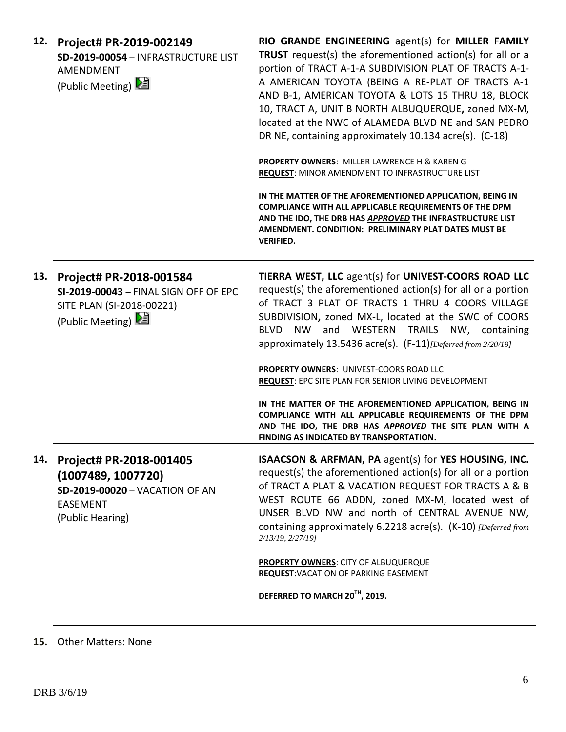| 12. | Project# PR-2019-002149<br>SD-2019-00054 - INFRASTRUCTURE LIST<br><b>AMENDMENT</b><br>(Public Meeting) 2                      | RIO GRANDE ENGINEERING agent(s) for MILLER FAMILY<br>TRUST request(s) the aforementioned action(s) for all or a<br>portion of TRACT A-1-A SUBDIVISION PLAT OF TRACTS A-1-<br>A AMERICAN TOYOTA (BEING A RE-PLAT OF TRACTS A-1<br>AND B-1, AMERICAN TOYOTA & LOTS 15 THRU 18, BLOCK<br>10, TRACT A, UNIT B NORTH ALBUQUERQUE, zoned MX-M,<br>located at the NWC of ALAMEDA BLVD NE and SAN PEDRO<br>DR NE, containing approximately 10.134 acre(s). (C-18) |
|-----|-------------------------------------------------------------------------------------------------------------------------------|-----------------------------------------------------------------------------------------------------------------------------------------------------------------------------------------------------------------------------------------------------------------------------------------------------------------------------------------------------------------------------------------------------------------------------------------------------------|
|     |                                                                                                                               | PROPERTY OWNERS: MILLER LAWRENCE H & KAREN G<br>REQUEST: MINOR AMENDMENT TO INFRASTRUCTURE LIST                                                                                                                                                                                                                                                                                                                                                           |
|     |                                                                                                                               | IN THE MATTER OF THE AFOREMENTIONED APPLICATION, BEING IN<br>COMPLIANCE WITH ALL APPLICABLE REQUIREMENTS OF THE DPM<br>AND THE IDO, THE DRB HAS APPROVED THE INFRASTRUCTURE LIST<br>AMENDMENT, CONDITION: PRELIMINARY PLAT DATES MUST BE<br><b>VERIFIED.</b>                                                                                                                                                                                              |
| 13. | Project# PR-2018-001584<br>SI-2019-00043 - FINAL SIGN OFF OF EPC<br>SITE PLAN (SI-2018-00221)<br>(Public Meeting)             | TIERRA WEST, LLC agent(s) for UNIVEST-COORS ROAD LLC<br>request(s) the aforementioned action(s) for all or a portion<br>of TRACT 3 PLAT OF TRACTS 1 THRU 4 COORS VILLAGE<br>SUBDIVISION, zoned MX-L, located at the SWC of COORS<br>BLVD NW and WESTERN<br>TRAILS NW, containing<br>approximately 13.5436 acre(s). (F-11)[Deferred from 2/20/19]                                                                                                          |
|     |                                                                                                                               | <b>PROPERTY OWNERS: UNIVEST-COORS ROAD LLC</b><br><b>REQUEST: EPC SITE PLAN FOR SENIOR LIVING DEVELOPMENT</b>                                                                                                                                                                                                                                                                                                                                             |
|     |                                                                                                                               | IN THE MATTER OF THE AFOREMENTIONED APPLICATION, BEING IN<br>COMPLIANCE WITH ALL APPLICABLE REQUIREMENTS OF THE DPM<br>AND THE IDO, THE DRB HAS APPROVED THE SITE PLAN WITH A<br>FINDING AS INDICATED BY TRANSPORTATION.                                                                                                                                                                                                                                  |
| 14. | Project# PR-2018-001405<br>(1007489, 1007720)<br><b>SD-2019-00020 - VACATION OF AN</b><br><b>EASEMENT</b><br>(Public Hearing) | <b>ISAACSON &amp; ARFMAN, PA agent(s) for YES HOUSING, INC.</b><br>request(s) the aforementioned action(s) for all or a portion<br>of TRACT A PLAT & VACATION REQUEST FOR TRACTS A & B<br>WEST ROUTE 66 ADDN, zoned MX-M, located west of<br>UNSER BLVD NW and north of CENTRAL AVENUE NW,<br>containing approximately 6.2218 acre(s). (K-10) [Deferred from<br>2/13/19, 2/27/19]                                                                         |
|     |                                                                                                                               | <b>PROPERTY OWNERS: CITY OF ALBUQUERQUE</b><br><b>REQUEST: VACATION OF PARKING EASEMENT</b>                                                                                                                                                                                                                                                                                                                                                               |
|     |                                                                                                                               | DEFERRED TO MARCH 20 <sup>TH</sup> , 2019.                                                                                                                                                                                                                                                                                                                                                                                                                |

# **15.** Other Matters: None